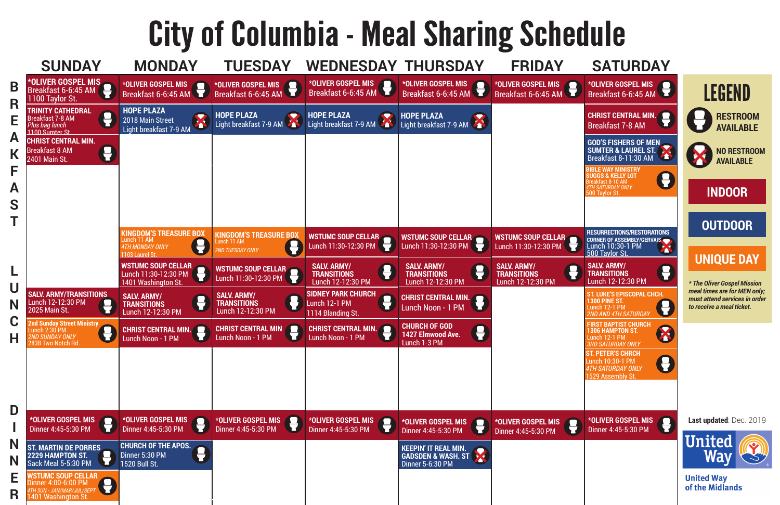# City of Columbia - Meal Sharing Schedule

### **Last updated**: Dec. 2019



**United Way** of the Midlands

**GOD'S FISHERS OF MEN** SUMTER & LAUREL ST.<br>Breakfast 8-11:30 AM Breakfast 8-11:30 AM

**ST. LUKE'S EPISCOPAL CHCH. 1300 PINE ST.** Lunch 12-1 PM *2ND AND 4TH SATURDAY*



**ST. PETER'S CHRCH** Lunch 10:30-1 PM *4TH SATURDAY ONLY* 1529 Assembly St.



**\*OLIVER GOSPEL MIS** Breakfast 6-6:45 AM

**FIRST BAPTIST CHURCH 1306 HAMPTON ST.** Lunch 12-1 PM *3RD SATURDAY ONLY*

**BIBLE WAY MINISTRY SUGGS & KELLY LOT**  Breakfast 8-10 AM *4TH SATURDAY ONLY* 500 Taylor St.



**\*OLIVER GOSPEL MIS** Dinner 4:45-5:30 PM





**NO RESTROOM AVAILABLE**

### **INDOOR**

**OUTDOOR**

## **UNIQUE DAY**

*\* The Oliver Gospel Mission meal times are for MEN only; must attend services in order to receive a meal ticket.*

**CHRIST CENTRAL MIN.** Breakfast 7-8 AM

**SALV. ARMY/ TRANSITIONS** Lunch 12-12:30 PM

**RESURRECTIONS/RESTORATIONS CORNER OF ASSEMBLY/GERVAIS** Lunch 10:30-1 PM 500 Taylor St. r LEGEND





r